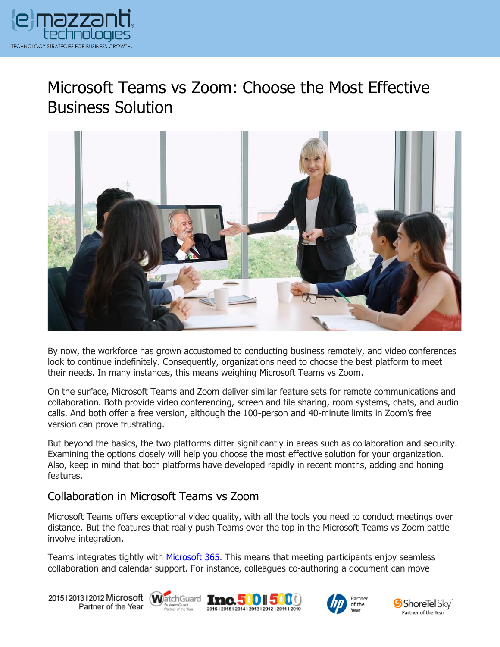

# Microsoft Teams vs Zoom: Choose the Most Effective Business Solution



By now, the workforce has grown accustomed to conducting business remotely, and video conferences look to continue indefinitely. Consequently, organizations need to choose the best platform to meet their needs. In many instances, this means weighing Microsoft Teams vs Zoom.

On the surface, Microsoft Teams and Zoom deliver similar feature sets for remote communications and collaboration. Both provide video conferencing, screen and file sharing, room systems, chats, and audio calls. And both offer a free version, although the 100-person and 40-minute limits in Zoom's free version can prove frustrating.

But beyond the basics, the two platforms differ significantly in areas such as collaboration and security. Examining the options closely will help you choose the most effective solution for your organization. Also, keep in mind that both platforms have developed rapidly in recent months, adding and honing features.

### Collaboration in Microsoft Teams vs Zoom

Microsoft Teams offers exceptional video quality, with all the tools you need to conduct meetings over distance. But the features that really push Teams over the top in the Microsoft Teams vs Zoom battle involve integration.

Teams integrates tightly with [Microsoft 365.](https://messagingarchitects.com/microsoft-365-features/) This means that meeting participants enjoy seamless collaboration and calendar support. For instance, colleagues co-authoring a document can move

20151201312012 Microsoft WatchGuard Tmc. 500 500 Partner of the Year







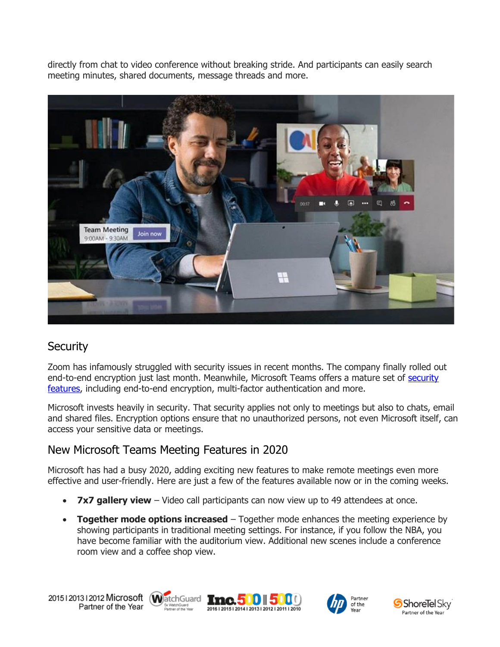directly from chat to video conference without breaking stride. And participants can easily search meeting minutes, shared documents, message threads and more.



## **Security**

Zoom has infamously struggled with security issues in recent months. The company finally rolled out end-to-end encryption just last month. Meanwhile, Microsoft Teams offers a mature set of security [features,](https://www.emazzanti.net/microsoft-365-for-remote-work/) including end-to-end encryption, multi-factor authentication and more.

Microsoft invests heavily in security. That security applies not only to meetings but also to chats, email and shared files. Encryption options ensure that no unauthorized persons, not even Microsoft itself, can access your sensitive data or meetings.

## New Microsoft Teams Meeting Features in 2020

Microsoft has had a busy 2020, adding exciting new features to make remote meetings even more effective and user-friendly. Here are just a few of the features available now or in the coming weeks.

- **7x7 gallery view** Video call participants can now view up to 49 attendees at once.
- **Together mode options increased** Together mode enhances the meeting experience by showing participants in traditional meeting settings. For instance, if you follow the NBA, you have become familiar with the auditorium view. Additional new scenes include a conference room view and a coffee shop view.

20151201312012 Microsoft WatchGuard **Inc.500 500** Partner of the Year